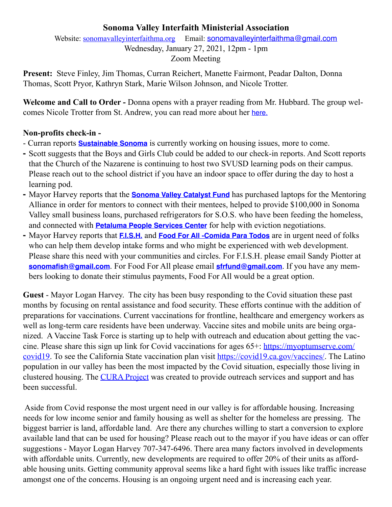## **Sonoma Valley Interfaith Ministerial Association**

Website: [sonomavalleyinterfaithma.org](http://sonomavalleyinterfaithma.org) Email: [sonomavalleyinterfaithma@gmail.com](mailto:sonomavalleyinterfaithma@gmail.com) Wednesday, January 27, 2021, 12pm - 1pm Zoom Meeting

**Present:** Steve Finley, Jim Thomas, Curran Reichert, Manette Fairmont, Peadar Dalton, Donna Thomas, Scott Pryor, Kathryn Stark, Marie Wilson Johnson, and Nicole Trotter.

**Welcome and Call to Order -** Donna opens with a prayer reading from Mr. Hubbard. The group welcomes Nicole Trotter from St. Andrew, you can read more about her [here.](https://www.andrewpres.org/pnc/)

## **Non-profits check-in -**

- Curran reports **[Sustainable Sonoma](https://www.sustainablesonoma.net/)** is currently working on housing issues, more to come.
- **-** Scott suggests that the Boys and Girls Club could be added to our check-in reports. And Scott reports that the Church of the Nazarene is continuing to host two SVUSD learning pods on their campus. Please reach out to the school district if you have an indoor space to offer during the day to host a learning pod.
- **-** Mayor Harvey reports that the **[Sonoma Valley Catalyst Fund](https://www.sonomavalleycatalystfund.org)** has purchased laptops for the Mentoring Alliance in order for mentors to connect with their mentees, helped to provide \$100,000 in Sonoma Valley small business loans, purchased refrigerators for S.O.S. who have been feeding the homeless, and connected with **[Petaluma People Services Center](https://petalumapeople.org)** for help with eviction negotiations.
- **-** Mayor Harvey reports that **[F.I.S.H.](https://www.friendsinsonomahelping.org)** and **[Food For All -Comida Para Todos](https://www.sonomacountygazette.com/sonoma-county-news/food-for-all-comida-para-todos-partnership-with-north-bay-organizing-pro/)** are in urgent need of folks who can help them develop intake forms and who might be experienced with web development. Please share this need with your communities and circles. For F.I.S.H. please email Sandy Piotter at **[sonomafish@gmail.com](mailto:sonomafish@gmail.com)**. For Food For All please email **[sfrfund@gmail.com](mailto:sfrfund@gmail.com)**. If you have any members looking to donate their stimulus payments, Food For All would be a great option.

**Guest** - Mayor Logan Harvey. The city has been busy responding to the Covid situation these past months by focusing on rental assistance and food security. These efforts continue with the addition of preparations for vaccinations. Current vaccinations for frontline, healthcare and emergency workers as well as long-term care residents have been underway. Vaccine sites and mobile units are being organized. A Vaccine Task Force is starting up to help with outreach and education about getting the vaccine. Please share this sign up link for Covid vaccinations for ages 65+: [https://myoptumserve.com/](https://myoptumserve.com/covid19) [covid19.](https://myoptumserve.com/covid19) To see the California State vaccination plan visit <https://covid19.ca.gov/vaccines/>. The Latino population in our valley has been the most impacted by the Covid situation, especially those living in clustered housing. The [CURA Project](https://www.sonomacity.org/cura-project-offers-supportive-services-and-financial-aid-for-latinx-and-indigenous-residents-affected-by-covid-19/) was created to provide outreach services and support and has been successful.

 Aside from Covid response the most urgent need in our valley is for affordable housing. Increasing needs for low income senior and family housing as well as shelter for the homeless are pressing. The biggest barrier is land, affordable land. Are there any churches willing to start a conversion to explore available land that can be used for housing? Please reach out to the mayor if you have ideas or can offer suggestions - Mayor Logan Harvey 707-347-6496. There area many factors involved in developments with affordable units. Currently, new developments are required to offer 20% of their units as affordable housing units. Getting community approval seems like a hard fight with issues like traffic increase amongst one of the concerns. Housing is an ongoing urgent need and is increasing each year.